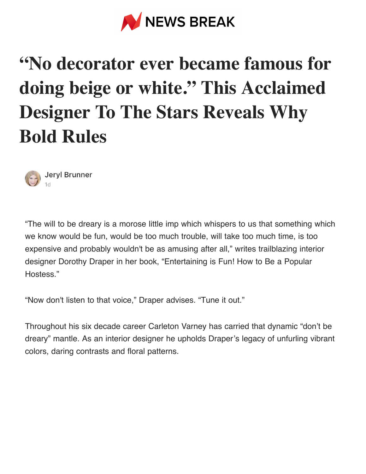

# **"No decorator ever became famous for doing beige or white." This Acclaimed Designer To The Stars Reveals Why Bold Rules**



"The will to be dreary is a morose little imp which whispers to us that something which we know would be fun, would be too much trouble, will take too much time, is too expensive and probably wouldn't be as amusing after all," writes trailblazing interior designer Dorothy Draper in her book, "Entertaining is Fun! How to Be a Popular Hostess."

"Now don't listen to that voice," Draper advises. "Tune it out."

Throughout his six decade career Carleton Varney has carried that dynamic "don't be dreary" mantle. As an interior designer he upholds Draper's legacy of unfurling vibrant colors, daring contrasts and floral patterns.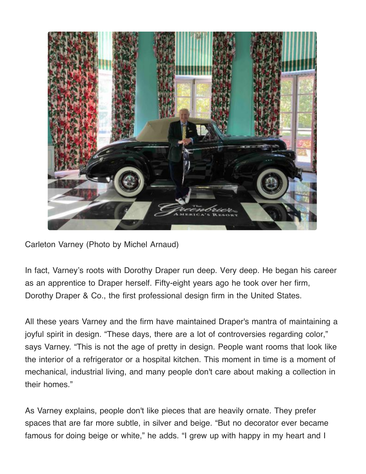

Carleton Varney (Photo by Michel Arnaud)

In fact, Varney's roots with Dorothy Draper run deep. Very deep. He began his career as an apprentice to Draper herself. Fifty-eight years ago he took over her firm, Dorothy Draper & Co., the first professional design firm in the United States.

All these years Varney and the firm have maintained Draper's mantra of maintaining a joyful spirit in design. "These days, there are a lot of controversies regarding color," says Varney. "This is not the age of pretty in design. People want rooms that look like the interior of a refrigerator or a hospital kitchen. This moment in time is a moment of mechanical, industrial living, and many people don't care about making a collection in their homes."

As Varney explains, people don't like pieces that are heavily ornate. They prefer spaces that are far more subtle, in silver and beige. "But no decorator ever became famous for doing beige or white," he adds. "I grew up with happy in my heart and I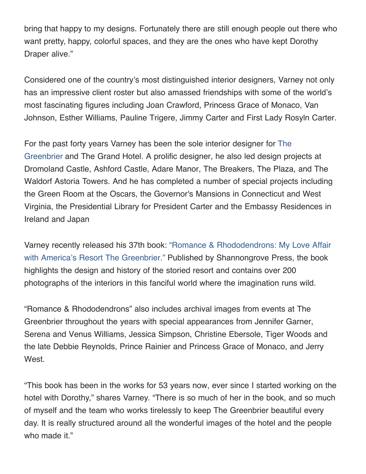bring that happy to my designs. Fortunately there are still enough people out there who want pretty, happy, colorful spaces, and they are the ones who have kept Dorothy Draper alive."

Considered one of the country's most distinguished interior designers, Varney not only has an impressive client roster but also amassed friendships with some of the world's most fascinating figures including Joan Crawford, Princess Grace of Monaco, Van Johnson, Esther Williams, Pauline Trigere, Jimmy Carter and First Lady Rosyln Carter.

[For the past forty years Varney has been the sole interior designer for The](https://www.greenbrier.com/) Greenbrier and The Grand Hotel. A prolific designer, he also led design projects at Dromoland Castle, Ashford Castle, Adare Manor, The Breakers, The Plaza, and The Waldorf Astoria Towers. And he has completed a number of special projects including the Green Room at the Oscars, the Governor's Mansions in Connecticut and West Virginia, the Presidential Library for President Carter and the Embassy Residences in Ireland and Japan

[Varney recently released his 37th book: "Romance & Rhododendrons: My Love Affair](https://www.carletonvarney.com/) with America's Resort The Greenbrier." Published by Shannongrove Press, the book highlights the design and history of the storied resort and contains over 200 photographs of the interiors in this fanciful world where the imagination runs wild.

"Romance & Rhododendrons" also includes archival images from events at The Greenbrier throughout the years with special appearances from Jennifer Garner, Serena and Venus Williams, Jessica Simpson, Christine Ebersole, Tiger Woods and the late Debbie Reynolds, Prince Rainier and Princess Grace of Monaco, and Jerry West.

"This book has been in the works for 53 years now, ever since I started working on the hotel with Dorothy," shares Varney. "There is so much of her in the book, and so much of myself and the team who works tirelessly to keep The Greenbrier beautiful every day. It is really structured around all the wonderful images of the hotel and the people who made it."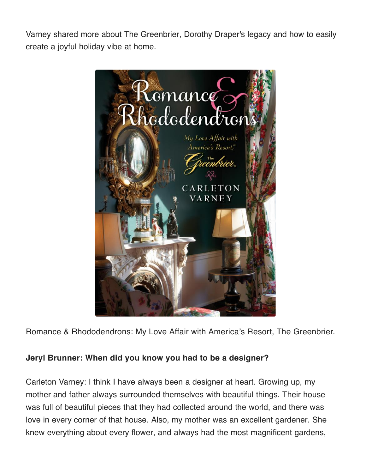Varney shared more about The Greenbrier, Dorothy Draper's legacy and how to easily create a joyful holiday vibe at home.



Romance & Rhododendrons: My Love Affair with America's Resort, The Greenbrier.

#### **Jeryl Brunner: When did you know you had to be a designer?**

Carleton Varney: I think I have always been a designer at heart. Growing up, my mother and father always surrounded themselves with beautiful things. Their house was full of beautiful pieces that they had collected around the world, and there was love in every corner of that house. Also, my mother was an excellent gardener. She knew everything about every flower, and always had the most magnificent gardens,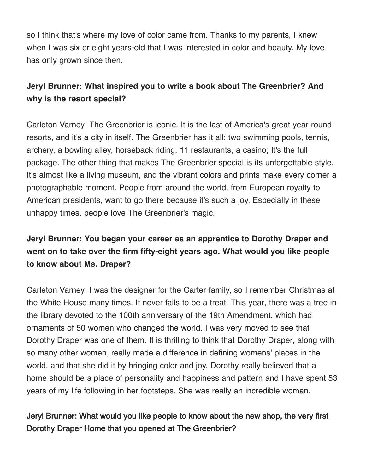so I think that's where my love of color came from. Thanks to my parents, I knew when I was six or eight years-old that I was interested in color and beauty. My love has only grown since then.

# **Jeryl Brunner: What inspired you to write a book about The Greenbrier? And why is the resort special?**

Carleton Varney: The Greenbrier is iconic. It is the last of America's great year-round resorts, and it's a city in itself. The Greenbrier has it all: two swimming pools, tennis, archery, a bowling alley, horseback riding, 11 restaurants, a casino; It's the full package. The other thing that makes The Greenbrier special is its unforgettable style. It's almost like a living museum, and the vibrant colors and prints make every corner a photographable moment. People from around the world, from European royalty to American presidents, want to go there because it's such a joy. Especially in these unhappy times, people love The Greenbrier's magic.

# **Jeryl Brunner: You began your career as an apprentice to Dorothy Draper and went on to take over the firm fifty-eight years ago. What would you like people to know about Ms. Draper?**

Carleton Varney: I was the designer for the Carter family, so I remember Christmas at the White House many times. It never fails to be a treat. This year, there was a tree in the library devoted to the 100th anniversary of the 19th Amendment, which had ornaments of 50 women who changed the world. I was very moved to see that Dorothy Draper was one of them. It is thrilling to think that Dorothy Draper, along with so many other women, really made a difference in defining womens' places in the world, and that she did it by bringing color and joy. Dorothy really believed that a home should be a place of personality and happiness and pattern and I have spent 53 years of my life following in her footsteps. She was really an incredible woman.

# Jeryl Brunner: What would you like people to know about the new shop, the very first Dorothy Draper Home that you opened at The Greenbrier?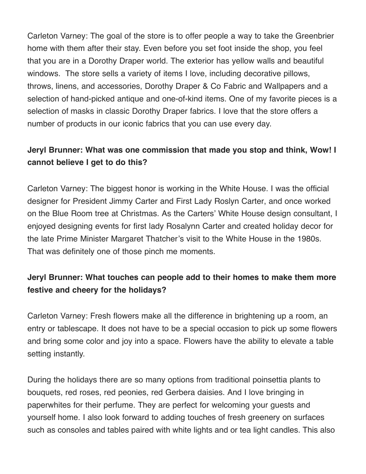Carleton Varney: The goal of the store is to offer people a way to take the Greenbrier home with them after their stay. Even before you set foot inside the shop, you feel that you are in a Dorothy Draper world. The exterior has yellow walls and beautiful windows. The store sells a variety of items I love, including decorative pillows, throws, linens, and accessories, Dorothy Draper & Co Fabric and Wallpapers and a selection of hand-picked antique and one-of-kind items. One of my favorite pieces is a selection of masks in classic Dorothy Draper fabrics. I love that the store offers a number of products in our iconic fabrics that you can use every day.

### **Jeryl Brunner: What was one commission that made you stop and think, Wow! I cannot believe I get to do this?**

Carleton Varney: The biggest honor is working in the White House. I was the official designer for President Jimmy Carter and First Lady Roslyn Carter, and once worked on the Blue Room tree at Christmas. As the Carters' White House design consultant, I enjoyed designing events for first lady Rosalynn Carter and created holiday decor for the late Prime Minister Margaret Thatcher's visit to the White House in the 1980s. That was definitely one of those pinch me moments.

# **Jeryl Brunner: What touches can people add to their homes to make them more festive and cheery for the holidays?**

Carleton Varney: Fresh flowers make all the difference in brightening up a room, an entry or tablescape. It does not have to be a special occasion to pick up some flowers and bring some color and joy into a space. Flowers have the ability to elevate a table setting instantly.

During the holidays there are so many options from traditional poinsettia plants to bouquets, red roses, red peonies, red Gerbera daisies. And I love bringing in paperwhites for their perfume. They are perfect for welcoming your guests and yourself home. I also look forward to adding touches of fresh greenery on surfaces such as consoles and tables paired with white lights and or tea light candles. This also